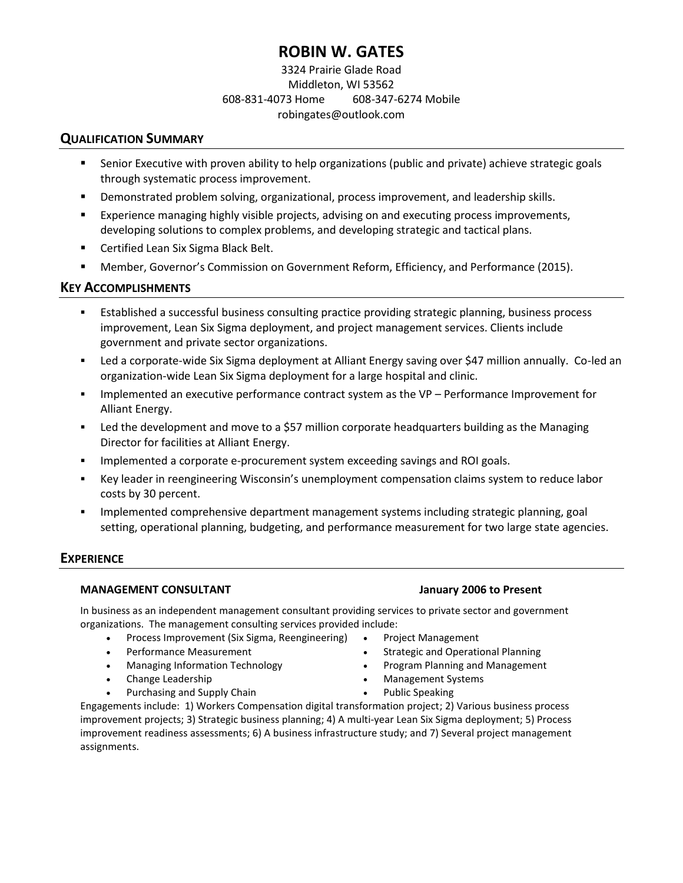# **ROBIN W. GATES**

## 3324 Prairie Glade Road Middleton, WI 53562 608-831-4073 Home 608-347-6274 Mobile robingates@outlook.com

## **QUALIFICATION SUMMARY**

- **•** Senior Executive with proven ability to help organizations (public and private) achieve strategic goals through systematic process improvement.
- **•** Demonstrated problem solving, organizational, process improvement, and leadership skills.
- Experience managing highly visible projects, advising on and executing process improvements, developing solutions to complex problems, and developing strategic and tactical plans.
- Certified Lean Six Sigma Black Belt.
- Member, Governor's Commission on Government Reform, Efficiency, and Performance (2015).

## **KEY ACCOMPLISHMENTS**

- Established a successful business consulting practice providing strategic planning, business process improvement, Lean Six Sigma deployment, and project management services. Clients include government and private sector organizations.
- Led a corporate-wide Six Sigma deployment at Alliant Energy saving over \$47 million annually. Co-led an organization-wide Lean Six Sigma deployment for a large hospital and clinic.
- Implemented an executive performance contract system as the VP Performance Improvement for Alliant Energy.
- **•** Led the development and move to a \$57 million corporate headquarters building as the Managing Director for facilities at Alliant Energy.
- Implemented a corporate e-procurement system exceeding savings and ROI goals.
- **EXEY A** Key leader in reengineering Wisconsin's unemployment compensation claims system to reduce labor costs by 30 percent.
- Implemented comprehensive department management systems including strategic planning, goal setting, operational planning, budgeting, and performance measurement for two large state agencies.

## **EXPERIENCE**

### **MANAGEMENT CONSULTANT January 2006 to Present**

In business as an independent management consultant providing services to private sector and government organizations. The management consulting services provided include:

- Process Improvement (Six Sigma, Reengineering)
- Performance Measurement
- Managing Information Technology
- Change Leadership
- Purchasing and Supply Chain
- Project Management
	- Strategic and Operational Planning
- Program Planning and Management
- Management Systems
- Public Speaking

Engagements include: 1) Workers Compensation digital transformation project; 2) Various business process improvement projects; 3) Strategic business planning; 4) A multi-year Lean Six Sigma deployment; 5) Process improvement readiness assessments; 6) A business infrastructure study; and 7) Several project management assignments.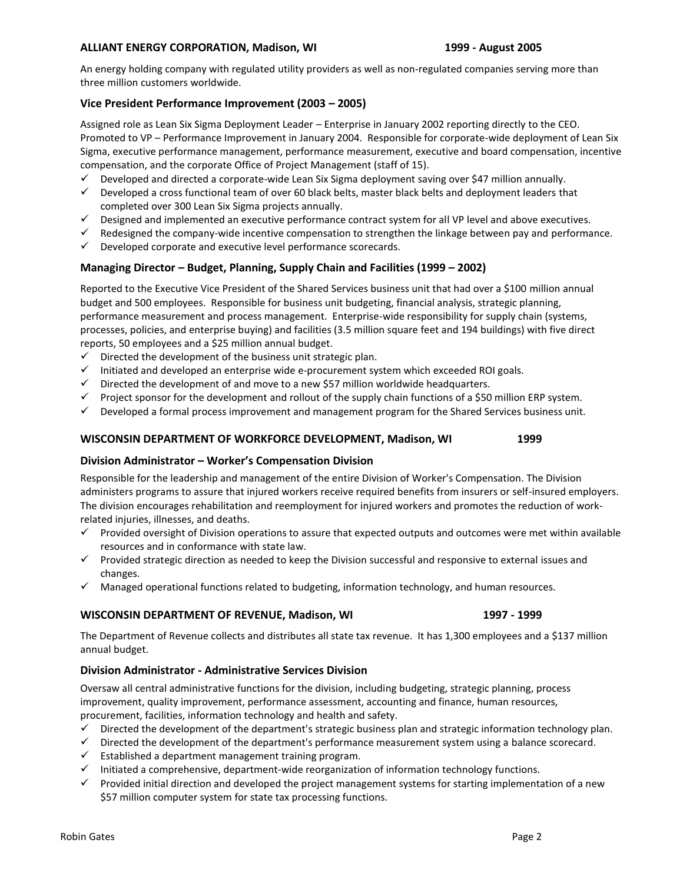#### **ALLIANT ENERGY CORPORATION, Madison, WI 1999 - August 2005**

An energy holding company with regulated utility providers as well as non-regulated companies serving more than three million customers worldwide.

#### **Vice President Performance Improvement (2003 – 2005)**

Assigned role as Lean Six Sigma Deployment Leader – Enterprise in January 2002 reporting directly to the CEO. Promoted to VP – Performance Improvement in January 2004. Responsible for corporate-wide deployment of Lean Six Sigma, executive performance management, performance measurement, executive and board compensation, incentive compensation, and the corporate Office of Project Management (staff of 15).

- $\checkmark$  Developed and directed a corporate-wide Lean Six Sigma deployment saving over \$47 million annually.
- ✓ Developed a cross functional team of over 60 black belts, master black belts and deployment leaders that completed over 300 Lean Six Sigma projects annually.
- ✓ Designed and implemented an executive performance contract system for all VP level and above executives.
- $\checkmark$  Redesigned the company-wide incentive compensation to strengthen the linkage between pay and performance.
- $\checkmark$  Developed corporate and executive level performance scorecards.

#### **Managing Director – Budget, Planning, Supply Chain and Facilities (1999 – 2002)**

Reported to the Executive Vice President of the Shared Services business unit that had over a \$100 million annual budget and 500 employees. Responsible for business unit budgeting, financial analysis, strategic planning, performance measurement and process management. Enterprise-wide responsibility for supply chain (systems, processes, policies, and enterprise buying) and facilities (3.5 million square feet and 194 buildings) with five direct reports, 50 employees and a \$25 million annual budget.

- Directed the development of the business unit strategic plan.
- ✓ Initiated and developed an enterprise wide e-procurement system which exceeded ROI goals.
- $\checkmark$  Directed the development of and move to a new \$57 million worldwide headquarters.
- $\checkmark$  Project sponsor for the development and rollout of the supply chain functions of a \$50 million ERP system.
- $\checkmark$  Developed a formal process improvement and management program for the Shared Services business unit.

#### **WISCONSIN DEPARTMENT OF WORKFORCE DEVELOPMENT, Madison, WI 1999**

### **Division Administrator – Worker's Compensation Division**

Responsible for the leadership and management of the entire Division of Worker's Compensation. The Division administers programs to assure that injured workers receive required benefits from insurers or self-insured employers. The division encourages rehabilitation and reemployment for injured workers and promotes the reduction of workrelated injuries, illnesses, and deaths.

- ✓ Provided oversight of Division operations to assure that expected outputs and outcomes were met within available resources and in conformance with state law.
- ✓ Provided strategic direction as needed to keep the Division successful and responsive to external issues and changes.
- ✓ Managed operational functions related to budgeting, information technology, and human resources.

#### **WISCONSIN DEPARTMENT OF REVENUE, Madison, WI 1997 - 1999**

The Department of Revenue collects and distributes all state tax revenue. It has 1,300 employees and a \$137 million annual budget.

#### **Division Administrator - Administrative Services Division**

Oversaw all central administrative functions for the division, including budgeting, strategic planning, process improvement, quality improvement, performance assessment, accounting and finance, human resources, procurement, facilities, information technology and health and safety.

- ✓ Directed the development of the department's strategic business plan and strategic information technology plan.
- ✓ Directed the development of the department's performance measurement system using a balance scorecard.
- $\checkmark$  Established a department management training program.
- $\checkmark$  Initiated a comprehensive, department-wide reorganization of information technology functions.
- ✓ Provided initial direction and developed the project management systems for starting implementation of a new \$57 million computer system for state tax processing functions.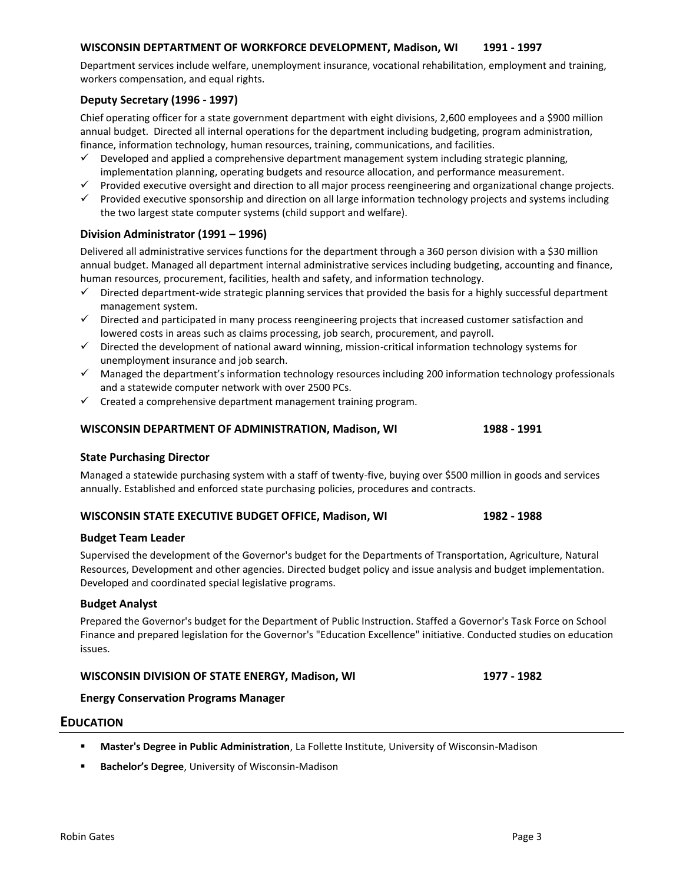#### **WISCONSIN DEPTARTMENT OF WORKFORCE DEVELOPMENT, Madison, WI 1991 - 1997**

Department services include welfare, unemployment insurance, vocational rehabilitation, employment and training, workers compensation, and equal rights.

#### **Deputy Secretary (1996 - 1997)**

Chief operating officer for a state government department with eight divisions, 2,600 employees and a \$900 million annual budget. Directed all internal operations for the department including budgeting, program administration, finance, information technology, human resources, training, communications, and facilities.

- $\checkmark$  Developed and applied a comprehensive department management system including strategic planning, implementation planning, operating budgets and resource allocation, and performance measurement.
- ✓ Provided executive oversight and direction to all major process reengineering and organizational change projects.
- ✓ Provided executive sponsorship and direction on all large information technology projects and systems including the two largest state computer systems (child support and welfare).

#### **Division Administrator (1991 – 1996)**

Delivered all administrative services functions for the department through a 360 person division with a \$30 million annual budget. Managed all department internal administrative services including budgeting, accounting and finance, human resources, procurement, facilities, health and safety, and information technology.

- Directed department-wide strategic planning services that provided the basis for a highly successful department management system.
- ✓ Directed and participated in many process reengineering projects that increased customer satisfaction and lowered costs in areas such as claims processing, job search, procurement, and payroll.
- ✓ Directed the development of national award winning, mission-critical information technology systems for unemployment insurance and job search.
- ✓ Managed the department's information technology resources including 200 information technology professionals and a statewide computer network with over 2500 PCs.
- $\checkmark$  Created a comprehensive department management training program.

#### **WISCONSIN DEPARTMENT OF ADMINISTRATION, Madison, WI 1988 - 1991**

#### **State Purchasing Director**

Managed a statewide purchasing system with a staff of twenty-five, buying over \$500 million in goods and services annually. Established and enforced state purchasing policies, procedures and contracts.

#### **WISCONSIN STATE EXECUTIVE BUDGET OFFICE, Madison, WI 1982 - 1988**

#### **Budget Team Leader**

Supervised the development of the Governor's budget for the Departments of Transportation, Agriculture, Natural Resources, Development and other agencies. Directed budget policy and issue analysis and budget implementation. Developed and coordinated special legislative programs.

#### **Budget Analyst**

Prepared the Governor's budget for the Department of Public Instruction. Staffed a Governor's Task Force on School Finance and prepared legislation for the Governor's "Education Excellence" initiative. Conducted studies on education issues.

#### **WISCONSIN DIVISION OF STATE ENERGY, Madison, WI 1977 - 1982**

#### **Energy Conservation Programs Manager**

#### **EDUCATION**

- **Master's Degree in Public Administration**, La Follette Institute, University of Wisconsin-Madison
- **Bachelor's Degree**, University of Wisconsin-Madison